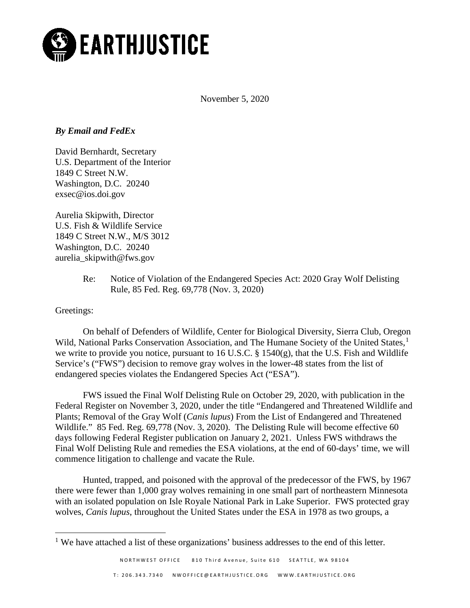

November 5, 2020

# *By Email and FedEx*

David Bernhardt, Secretary U.S. Department of the Interior 1849 C Street N.W. Washington, D.C. 20240 exsec@ios.doi.gov

Aurelia Skipwith, Director U.S. Fish & Wildlife Service 1849 C Street N.W., M/S 3012 Washington, D.C. 20240 aurelia\_skipwith@fws.gov

> Re: Notice of Violation of the Endangered Species Act: 2020 Gray Wolf Delisting Rule, 85 Fed. Reg. 69,778 (Nov. 3, 2020)

Greetings:

On behalf of Defenders of Wildlife, Center for Biological Diversity, Sierra Club, Oregon Wild, National Parks Conservation Association, and The Humane Society of the United States,<sup>[1](#page-0-0)</sup> we write to provide you notice, pursuant to 16 U.S.C. § 1540(g), that the U.S. Fish and Wildlife Service's ("FWS") decision to remove gray wolves in the lower-48 states from the list of endangered species violates the Endangered Species Act ("ESA").

FWS issued the Final Wolf Delisting Rule on October 29, 2020, with publication in the Federal Register on November 3, 2020, under the title "Endangered and Threatened Wildlife and Plants; Removal of the Gray Wolf (*Canis lupus*) From the List of Endangered and Threatened Wildlife." 85 Fed. Reg. 69,778 (Nov. 3, 2020). The Delisting Rule will become effective 60 days following Federal Register publication on January 2, 2021. Unless FWS withdraws the Final Wolf Delisting Rule and remedies the ESA violations, at the end of 60-days' time, we will commence litigation to challenge and vacate the Rule.

Hunted, trapped, and poisoned with the approval of the predecessor of the FWS, by 1967 there were fewer than 1,000 gray wolves remaining in one small part of northeastern Minnesota with an isolated population on Isle Royale National Park in Lake Superior. FWS protected gray wolves, *Canis lupus*, throughout the United States under the ESA in 1978 as two groups, a

<span id="page-0-0"></span> $<sup>1</sup>$  We have attached a list of these organizations' business addresses to the end of this letter.</sup>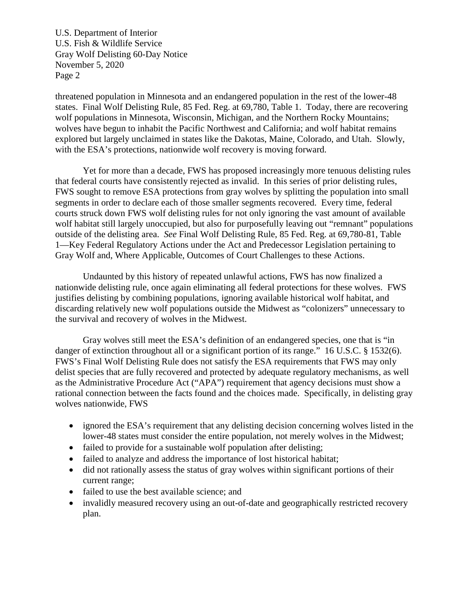threatened population in Minnesota and an endangered population in the rest of the lower-48 states. Final Wolf Delisting Rule, 85 Fed. Reg. at 69,780, Table 1. Today, there are recovering wolf populations in Minnesota, Wisconsin, Michigan, and the Northern Rocky Mountains; wolves have begun to inhabit the Pacific Northwest and California; and wolf habitat remains explored but largely unclaimed in states like the Dakotas, Maine, Colorado, and Utah. Slowly, with the ESA's protections, nationwide wolf recovery is moving forward.

Yet for more than a decade, FWS has proposed increasingly more tenuous delisting rules that federal courts have consistently rejected as invalid. In this series of prior delisting rules, FWS sought to remove ESA protections from gray wolves by splitting the population into small segments in order to declare each of those smaller segments recovered. Every time, federal courts struck down FWS wolf delisting rules for not only ignoring the vast amount of available wolf habitat still largely unoccupied, but also for purposefully leaving out "remnant" populations outside of the delisting area. *See* Final Wolf Delisting Rule, 85 Fed. Reg. at 69,780-81, Table 1—Key Federal Regulatory Actions under the Act and Predecessor Legislation pertaining to Gray Wolf and, Where Applicable, Outcomes of Court Challenges to these Actions.

Undaunted by this history of repeated unlawful actions, FWS has now finalized a nationwide delisting rule, once again eliminating all federal protections for these wolves. FWS justifies delisting by combining populations, ignoring available historical wolf habitat, and discarding relatively new wolf populations outside the Midwest as "colonizers" unnecessary to the survival and recovery of wolves in the Midwest.

Gray wolves still meet the ESA's definition of an endangered species, one that is "in danger of extinction throughout all or a significant portion of its range." 16 U.S.C. § 1532(6). FWS's Final Wolf Delisting Rule does not satisfy the ESA requirements that FWS may only delist species that are fully recovered and protected by adequate regulatory mechanisms, as well as the Administrative Procedure Act ("APA") requirement that agency decisions must show a rational connection between the facts found and the choices made. Specifically, in delisting gray wolves nationwide, FWS

- ignored the ESA's requirement that any delisting decision concerning wolves listed in the lower-48 states must consider the entire population, not merely wolves in the Midwest;
- failed to provide for a sustainable wolf population after delisting;
- failed to analyze and address the importance of lost historical habitat;
- did not rationally assess the status of gray wolves within significant portions of their current range;
- failed to use the best available science; and
- invalidly measured recovery using an out-of-date and geographically restricted recovery plan.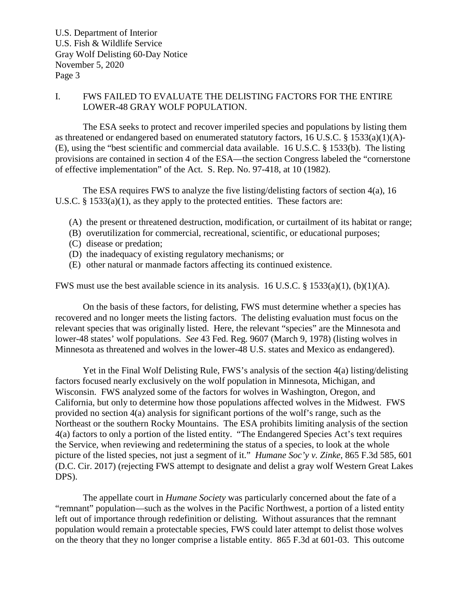# I. FWS FAILED TO EVALUATE THE DELISTING FACTORS FOR THE ENTIRE LOWER-48 GRAY WOLF POPULATION.

The ESA seeks to protect and recover imperiled species and populations by listing them as threatened or endangered based on enumerated statutory factors, 16 U.S.C. § 1533(a)(1)(A)- (E), using the "best scientific and commercial data available. 16 U.S.C. § 1533(b). The listing provisions are contained in section 4 of the ESA—the section Congress labeled the "cornerstone of effective implementation" of the Act. S. Rep. No. 97-418, at 10 (1982).

The ESA requires FWS to analyze the five listing/delisting factors of section 4(a), 16 U.S.C. § 1533(a)(1), as they apply to the protected entities. These factors are:

- (A) the present or threatened destruction, modification, or curtailment of its habitat or range;
- (B) overutilization for commercial, recreational, scientific, or educational purposes;
- (C) disease or predation;
- (D) the inadequacy of existing regulatory mechanisms; or
- (E) other natural or manmade factors affecting its continued existence.

FWS must use the best available science in its analysis. 16 U.S.C. § 1533(a)(1), (b)(1)(A).

On the basis of these factors, for delisting, FWS must determine whether a species has recovered and no longer meets the listing factors. The delisting evaluation must focus on the relevant species that was originally listed. Here, the relevant "species" are the Minnesota and lower-48 states' wolf populations. *See* 43 Fed. Reg. 9607 (March 9, 1978) (listing wolves in Minnesota as threatened and wolves in the lower-48 U.S. states and Mexico as endangered).

Yet in the Final Wolf Delisting Rule, FWS's analysis of the section 4(a) listing/delisting factors focused nearly exclusively on the wolf population in Minnesota, Michigan, and Wisconsin. FWS analyzed some of the factors for wolves in Washington, Oregon, and California, but only to determine how those populations affected wolves in the Midwest. FWS provided no section 4(a) analysis for significant portions of the wolf's range, such as the Northeast or the southern Rocky Mountains. The ESA prohibits limiting analysis of the section 4(a) factors to only a portion of the listed entity. "The Endangered Species Act's text requires the Service, when reviewing and redetermining the status of a species, to look at the whole picture of the listed species, not just a segment of it." *Humane Soc'y v. Zinke*, 865 F.3d 585, 601 (D.C. Cir. 2017) (rejecting FWS attempt to designate and delist a gray wolf Western Great Lakes DPS).

The appellate court in *Humane Society* was particularly concerned about the fate of a "remnant" population—such as the wolves in the Pacific Northwest, a portion of a listed entity left out of importance through redefinition or delisting. Without assurances that the remnant population would remain a protectable species, FWS could later attempt to delist those wolves on the theory that they no longer comprise a listable entity. 865 F.3d at 601-03. This outcome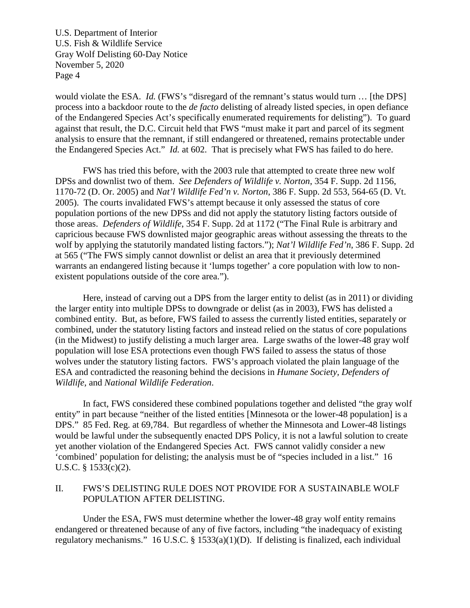would violate the ESA. *Id.* (FWS's "disregard of the remnant's status would turn ... [the DPS] process into a backdoor route to the *de facto* delisting of already listed species, in open defiance of the Endangered Species Act's specifically enumerated requirements for delisting"). To guard against that result, the D.C. Circuit held that FWS "must make it part and parcel of its segment analysis to ensure that the remnant, if still endangered or threatened, remains protectable under the Endangered Species Act." *Id.* at 602. That is precisely what FWS has failed to do here.

FWS has tried this before, with the 2003 rule that attempted to create three new wolf DPSs and downlist two of them. *See Defenders of Wildlife v. Norton*, 354 F. Supp. 2d 1156, 1170-72 (D. Or. 2005) and *Nat'l Wildlife Fed'n v. Norton*, 386 F. Supp. 2d 553, 564-65 (D. Vt. 2005). The courts invalidated FWS's attempt because it only assessed the status of core population portions of the new DPSs and did not apply the statutory listing factors outside of those areas. *Defenders of Wildlife*, 354 F. Supp. 2d at 1172 ("The Final Rule is arbitrary and capricious because FWS downlisted major geographic areas without assessing the threats to the wolf by applying the statutorily mandated listing factors."); *Nat'l Wildlife Fed'n*, 386 F. Supp. 2d at 565 ("The FWS simply cannot downlist or delist an area that it previously determined warrants an endangered listing because it 'lumps together' a core population with low to nonexistent populations outside of the core area.").

Here, instead of carving out a DPS from the larger entity to delist (as in 2011) or dividing the larger entity into multiple DPSs to downgrade or delist (as in 2003), FWS has delisted a combined entity. But, as before, FWS failed to assess the currently listed entities, separately or combined, under the statutory listing factors and instead relied on the status of core populations (in the Midwest) to justify delisting a much larger area. Large swaths of the lower-48 gray wolf population will lose ESA protections even though FWS failed to assess the status of those wolves under the statutory listing factors. FWS's approach violated the plain language of the ESA and contradicted the reasoning behind the decisions in *Humane Society, Defenders of Wildlife,* and *National Wildlife Federation*.

In fact, FWS considered these combined populations together and delisted "the gray wolf entity" in part because "neither of the listed entities [Minnesota or the lower-48 population] is a DPS." 85 Fed. Reg. at 69,784. But regardless of whether the Minnesota and Lower-48 listings would be lawful under the subsequently enacted DPS Policy, it is not a lawful solution to create yet another violation of the Endangered Species Act. FWS cannot validly consider a new 'combined' population for delisting; the analysis must be of "species included in a list." 16 U.S.C. § 1533(c)(2).

# II. FWS'S DELISTING RULE DOES NOT PROVIDE FOR A SUSTAINABLE WOLF POPULATION AFTER DELISTING.

Under the ESA, FWS must determine whether the lower-48 gray wolf entity remains endangered or threatened because of any of five factors, including "the inadequacy of existing regulatory mechanisms." 16 U.S.C. § 1533(a)(1)(D). If delisting is finalized, each individual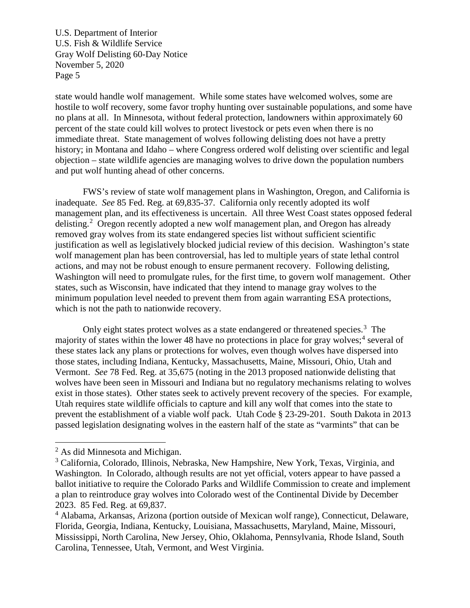state would handle wolf management. While some states have welcomed wolves, some are hostile to wolf recovery, some favor trophy hunting over sustainable populations, and some have no plans at all. In Minnesota, without federal protection, landowners within approximately 60 percent of the state could kill wolves to protect livestock or pets even when there is no immediate threat. State management of wolves following delisting does not have a pretty history; in Montana and Idaho – where Congress ordered wolf delisting over scientific and legal objection – state wildlife agencies are managing wolves to drive down the population numbers and put wolf hunting ahead of other concerns.

FWS's review of state wolf management plans in Washington, Oregon, and California is inadequate. *See* 85 Fed. Reg. at 69,835-37. California only recently adopted its wolf management plan, and its effectiveness is uncertain. All three West Coast states opposed federal delisting.<sup>[2](#page-4-0)</sup> Oregon recently adopted a new wolf management plan, and Oregon has already removed gray wolves from its state endangered species list without sufficient scientific justification as well as legislatively blocked judicial review of this decision. Washington's state wolf management plan has been controversial, has led to multiple years of state lethal control actions, and may not be robust enough to ensure permanent recovery. Following delisting, Washington will need to promulgate rules, for the first time, to govern wolf management. Other states, such as Wisconsin, have indicated that they intend to manage gray wolves to the minimum population level needed to prevent them from again warranting ESA protections, which is not the path to nationwide recovery.

Only eight states protect wolves as a state endangered or threatened species.<sup>[3](#page-4-1)</sup> The majority of states within the lower [4](#page-4-2)8 have no protections in place for gray wolves;  $4$  several of these states lack any plans or protections for wolves, even though wolves have dispersed into those states, including Indiana, Kentucky, Massachusetts, Maine, Missouri, Ohio, Utah and Vermont. *See* 78 Fed. Reg. at 35,675 (noting in the 2013 proposed nationwide delisting that wolves have been seen in Missouri and Indiana but no regulatory mechanisms relating to wolves exist in those states). Other states seek to actively prevent recovery of the species. For example, Utah requires state wildlife officials to capture and kill any wolf that comes into the state to prevent the establishment of a viable wolf pack. Utah Code § 23-29-201. South Dakota in 2013 passed legislation designating wolves in the eastern half of the state as "varmints" that can be

<span id="page-4-0"></span> <sup>2</sup> As did Minnesota and Michigan.

<span id="page-4-1"></span><sup>&</sup>lt;sup>3</sup> California, Colorado, Illinois, Nebraska, New Hampshire, New York, Texas, Virginia, and Washington. In Colorado, although results are not yet official, voters appear to have passed a ballot initiative to require the Colorado Parks and Wildlife Commission to create and implement a plan to reintroduce gray wolves into Colorado west of the Continental Divide by December 2023. 85 Fed. Reg. at 69,837.

<span id="page-4-2"></span><sup>4</sup> Alabama, Arkansas, Arizona (portion outside of Mexican wolf range), Connecticut, Delaware, Florida, Georgia, Indiana, Kentucky, Louisiana, Massachusetts, Maryland, Maine, Missouri, Mississippi, North Carolina, New Jersey, Ohio, Oklahoma, Pennsylvania, Rhode Island, South Carolina, Tennessee, Utah, Vermont, and West Virginia.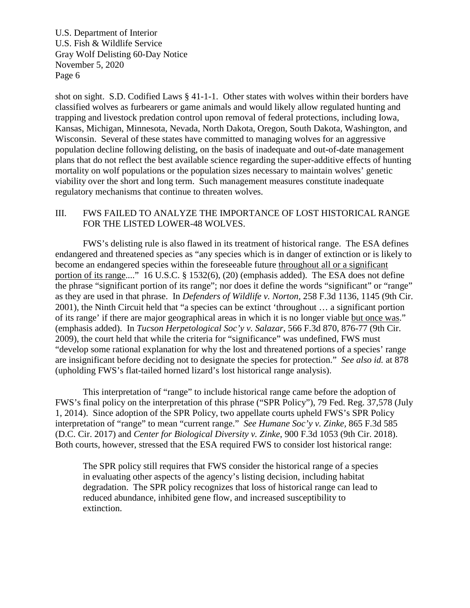shot on sight. S.D. Codified Laws § 41-1-1. Other states with wolves within their borders have classified wolves as furbearers or game animals and would likely allow regulated hunting and trapping and livestock predation control upon removal of federal protections, including Iowa, Kansas, Michigan, Minnesota, Nevada, North Dakota, Oregon, South Dakota, Washington, and Wisconsin. Several of these states have committed to managing wolves for an aggressive population decline following delisting, on the basis of inadequate and out-of-date management plans that do not reflect the best available science regarding the super-additive effects of hunting mortality on wolf populations or the population sizes necessary to maintain wolves' genetic viability over the short and long term. Such management measures constitute inadequate regulatory mechanisms that continue to threaten wolves.

# III. FWS FAILED TO ANALYZE THE IMPORTANCE OF LOST HISTORICAL RANGE FOR THE LISTED LOWER-48 WOLVES.

FWS's delisting rule is also flawed in its treatment of historical range. The ESA defines endangered and threatened species as "any species which is in danger of extinction or is likely to become an endangered species within the foreseeable future throughout all or a significant portion of its range...." 16 U.S.C. § 1532(6), (20) (emphasis added). The ESA does not define the phrase "significant portion of its range"; nor does it define the words "significant" or "range" as they are used in that phrase. In *Defenders of Wildlife v. Norton,* 258 F.3d 1136, 1145 (9th Cir. 2001), the Ninth Circuit held that "a species can be extinct 'throughout … a significant portion of its range' if there are major geographical areas in which it is no longer viable but once was." (emphasis added). In *Tucson Herpetological Soc'y v. Salazar*, 566 F.3d 870, 876-77 (9th Cir. 2009), the court held that while the criteria for "significance" was undefined, FWS must "develop some rational explanation for why the lost and threatened portions of a species' range are insignificant before deciding not to designate the species for protection." *See also id.* at 878 (upholding FWS's flat-tailed horned lizard's lost historical range analysis).

This interpretation of "range" to include historical range came before the adoption of FWS's final policy on the interpretation of this phrase ("SPR Policy"), 79 Fed. Reg. 37,578 (July 1, 2014). Since adoption of the SPR Policy, two appellate courts upheld FWS's SPR Policy interpretation of "range" to mean "current range." *See Humane Soc'y v. Zinke,* 865 F.3d 585 (D.C. Cir. 2017) and *Center for Biological Diversity v. Zinke*, 900 F.3d 1053 (9th Cir. 2018). Both courts, however, stressed that the ESA required FWS to consider lost historical range:

The SPR policy still requires that FWS consider the historical range of a species in evaluating other aspects of the agency's listing decision, including habitat degradation. The SPR policy recognizes that loss of historical range can lead to reduced abundance, inhibited gene flow, and increased susceptibility to extinction.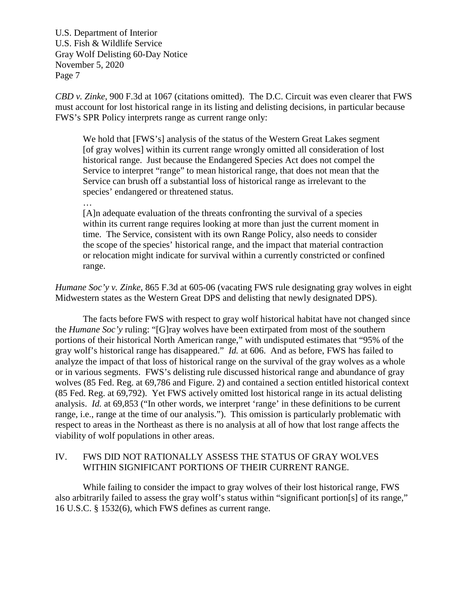*CBD v. Zinke*, 900 F.3d at 1067 (citations omitted). The D.C. Circuit was even clearer that FWS must account for lost historical range in its listing and delisting decisions, in particular because FWS's SPR Policy interprets range as current range only:

We hold that [FWS's] analysis of the status of the Western Great Lakes segment [of gray wolves] within its current range wrongly omitted all consideration of lost historical range. Just because the Endangered Species Act does not compel the Service to interpret "range" to mean historical range, that does not mean that the Service can brush off a substantial loss of historical range as irrelevant to the species' endangered or threatened status.

…

[A]n adequate evaluation of the threats confronting the survival of a species within its current range requires looking at more than just the current moment in time. The Service, consistent with its own Range Policy, also needs to consider the scope of the species' historical range, and the impact that material contraction or relocation might indicate for survival within a currently constricted or confined range.

*Humane Soc'y v. Zinke*, 865 F.3d at 605-06 (vacating FWS rule designating gray wolves in eight Midwestern states as the Western Great DPS and delisting that newly designated DPS).

The facts before FWS with respect to gray wolf historical habitat have not changed since the *Humane Soc'y* ruling: "[G]ray wolves have been extirpated from most of the southern portions of their historical North American range," with undisputed estimates that "95% of the gray wolf's historical range has disappeared." *Id.* at 606. And as before, FWS has failed to analyze the impact of that loss of historical range on the survival of the gray wolves as a whole or in various segments. FWS's delisting rule discussed historical range and abundance of gray wolves (85 Fed. Reg. at 69,786 and Figure. 2) and contained a section entitled historical context (85 Fed. Reg. at 69,792). Yet FWS actively omitted lost historical range in its actual delisting analysis. *Id.* at 69,853 ("In other words, we interpret 'range' in these definitions to be current range, i.e., range at the time of our analysis."). This omission is particularly problematic with respect to areas in the Northeast as there is no analysis at all of how that lost range affects the viability of wolf populations in other areas.

# IV. FWS DID NOT RATIONALLY ASSESS THE STATUS OF GRAY WOLVES WITHIN SIGNIFICANT PORTIONS OF THEIR CURRENT RANGE.

While failing to consider the impact to gray wolves of their lost historical range, FWS also arbitrarily failed to assess the gray wolf's status within "significant portion[s] of its range," 16 U.S.C. § 1532(6), which FWS defines as current range.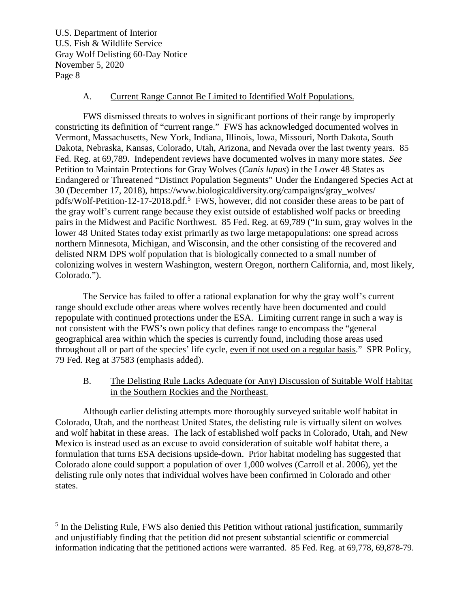#### A. Current Range Cannot Be Limited to Identified Wolf Populations.

FWS dismissed threats to wolves in significant portions of their range by improperly constricting its definition of "current range." FWS has acknowledged documented wolves in Vermont, Massachusetts, New York, Indiana, Illinois, Iowa, Missouri, North Dakota, South Dakota, Nebraska, Kansas, Colorado, Utah, Arizona, and Nevada over the last twenty years. 85 Fed. Reg. at 69,789. Independent reviews have documented wolves in many more states. *See* Petition to Maintain Protections for Gray Wolves (*Canis lupus*) in the Lower 48 States as Endangered or Threatened "Distinct Population Segments" Under the Endangered Species Act at 30 (December 17, 2018), https://www.biologicaldiversity.org/campaigns/gray\_wolves/ pdfs/Wolf-Petition-12-17-2018.pdf.<sup>[5](#page-7-0)</sup> FWS, however, did not consider these areas to be part of the gray wolf's current range because they exist outside of established wolf packs or breeding pairs in the Midwest and Pacific Northwest. 85 Fed. Reg. at 69,789 ("In sum, gray wolves in the lower 48 United States today exist primarily as two large metapopulations: one spread across northern Minnesota, Michigan, and Wisconsin, and the other consisting of the recovered and delisted NRM DPS wolf population that is biologically connected to a small number of colonizing wolves in western Washington, western Oregon, northern California, and, most likely, Colorado.").

The Service has failed to offer a rational explanation for why the gray wolf's current range should exclude other areas where wolves recently have been documented and could repopulate with continued protections under the ESA. Limiting current range in such a way is not consistent with the FWS's own policy that defines range to encompass the "general geographical area within which the species is currently found, including those areas used throughout all or part of the species' life cycle, even if not used on a regular basis." SPR Policy, 79 Fed. Reg at 37583 (emphasis added).

B. The Delisting Rule Lacks Adequate (or Any) Discussion of Suitable Wolf Habitat in the Southern Rockies and the Northeast.

Although earlier delisting attempts more thoroughly surveyed suitable wolf habitat in Colorado, Utah, and the northeast United States, the delisting rule is virtually silent on wolves and wolf habitat in these areas. The lack of established wolf packs in Colorado, Utah, and New Mexico is instead used as an excuse to avoid consideration of suitable wolf habitat there, a formulation that turns ESA decisions upside-down. Prior habitat modeling has suggested that Colorado alone could support a population of over 1,000 wolves (Carroll et al. 2006), yet the delisting rule only notes that individual wolves have been confirmed in Colorado and other states.

<span id="page-7-0"></span><sup>&</sup>lt;sup>5</sup> In the Delisting Rule, FWS also denied this Petition without rational justification, summarily and unjustifiably finding that the petition did not present substantial scientific or commercial information indicating that the petitioned actions were warranted. 85 Fed. Reg. at 69,778, 69,878-79.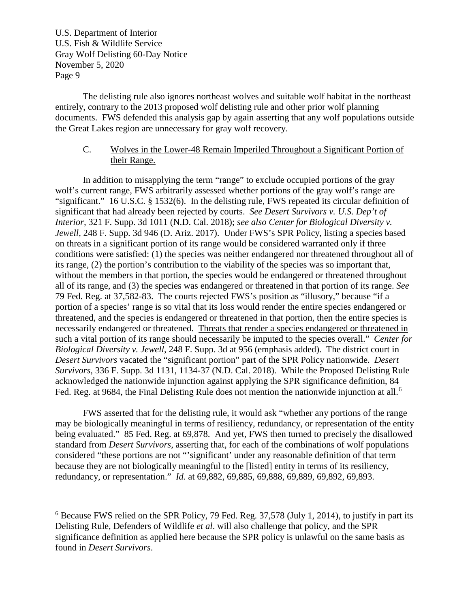The delisting rule also ignores northeast wolves and suitable wolf habitat in the northeast entirely, contrary to the 2013 proposed wolf delisting rule and other prior wolf planning documents. FWS defended this analysis gap by again asserting that any wolf populations outside the Great Lakes region are unnecessary for gray wolf recovery.

# C. Wolves in the Lower-48 Remain Imperiled Throughout a Significant Portion of their Range.

In addition to misapplying the term "range" to exclude occupied portions of the gray wolf's current range, FWS arbitrarily assessed whether portions of the gray wolf's range are "significant." 16 U.S.C. § 1532(6). In the delisting rule, FWS repeated its circular definition of significant that had already been rejected by courts. *See Desert Survivors v. U.S. Dep't of Interior,* 321 F. Supp. 3d 1011 (N.D. Cal. 2018); *see also Center for Biological Diversity v. Jewell*, 248 F. Supp. 3d 946 (D. Ariz. 2017). Under FWS's SPR Policy, listing a species based on threats in a significant portion of its range would be considered warranted only if three conditions were satisfied: (1) the species was neither endangered nor threatened throughout all of its range, (2) the portion's contribution to the viability of the species was so important that, without the members in that portion, the species would be endangered or threatened throughout all of its range, and (3) the species was endangered or threatened in that portion of its range. *See*  79 Fed. Reg. at 37,582-83. The courts rejected FWS's position as "illusory," because "if a portion of a species' range is so vital that its loss would render the entire species endangered or threatened, and the species is endangered or threatened in that portion, then the entire species is necessarily endangered or threatened. Threats that render a species endangered or threatened in such a vital portion of its range should necessarily be imputed to the species overall." *Center for Biological Diversity v. Jewell*, 248 F. Supp. 3d at 956 (emphasis added). The district court in *Desert Survivors* vacated the "significant portion" part of the SPR Policy nationwide. *Desert Survivors,* 336 F. Supp. 3d 1131, 1134-37 (N.D. Cal. 2018). While the Proposed Delisting Rule acknowledged the nationwide injunction against applying the SPR significance definition, 84 Fed. Reg. at 9[6](#page-8-0)84, the Final Delisting Rule does not mention the nationwide injunction at all.<sup>6</sup>

FWS asserted that for the delisting rule, it would ask "whether any portions of the range may be biologically meaningful in terms of resiliency, redundancy, or representation of the entity being evaluated." 85 Fed. Reg. at 69,878. And yet, FWS then turned to precisely the disallowed standard from *Desert Survivors*, asserting that, for each of the combinations of wolf populations considered "these portions are not "'significant' under any reasonable definition of that term because they are not biologically meaningful to the [listed] entity in terms of its resiliency, redundancy, or representation." *Id.* at 69,882, 69,885, 69,888, 69,889, 69,892, 69,893.

<span id="page-8-0"></span> <sup>6</sup> Because FWS relied on the SPR Policy, 79 Fed. Reg. 37,578 (July 1, 2014), to justify in part its Delisting Rule, Defenders of Wildlife *et al*. will also challenge that policy, and the SPR significance definition as applied here because the SPR policy is unlawful on the same basis as found in *Desert Survivors*.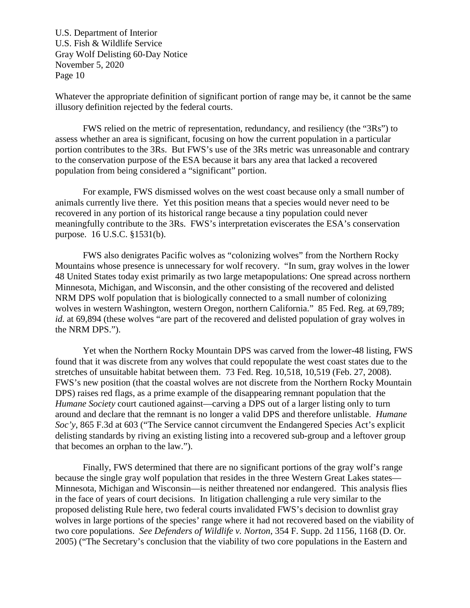Whatever the appropriate definition of significant portion of range may be, it cannot be the same illusory definition rejected by the federal courts.

FWS relied on the metric of representation, redundancy, and resiliency (the "3Rs") to assess whether an area is significant, focusing on how the current population in a particular portion contributes to the 3Rs. But FWS's use of the 3Rs metric was unreasonable and contrary to the conservation purpose of the ESA because it bars any area that lacked a recovered population from being considered a "significant" portion.

For example, FWS dismissed wolves on the west coast because only a small number of animals currently live there. Yet this position means that a species would never need to be recovered in any portion of its historical range because a tiny population could never meaningfully contribute to the 3Rs. FWS's interpretation eviscerates the ESA's conservation purpose. 16 U.S.C. §1531(b).

FWS also denigrates Pacific wolves as "colonizing wolves" from the Northern Rocky Mountains whose presence is unnecessary for wolf recovery. "In sum, gray wolves in the lower 48 United States today exist primarily as two large metapopulations: One spread across northern Minnesota, Michigan, and Wisconsin, and the other consisting of the recovered and delisted NRM DPS wolf population that is biologically connected to a small number of colonizing wolves in western Washington, western Oregon, northern California." 85 Fed. Reg. at 69,789; *id.* at 69,894 (these wolves "are part of the recovered and delisted population of gray wolves in the NRM DPS.").

Yet when the Northern Rocky Mountain DPS was carved from the lower-48 listing, FWS found that it was discrete from any wolves that could repopulate the west coast states due to the stretches of unsuitable habitat between them. 73 Fed. Reg. 10,518, 10,519 (Feb. 27, 2008). FWS's new position (that the coastal wolves are not discrete from the Northern Rocky Mountain DPS) raises red flags, as a prime example of the disappearing remnant population that the *Humane Society* court cautioned against—carving a DPS out of a larger listing only to turn around and declare that the remnant is no longer a valid DPS and therefore unlistable. *Humane Soc'y*, 865 F.3d at 603 ("The Service cannot circumvent the Endangered Species Act's explicit delisting standards by riving an existing listing into a recovered sub-group and a leftover group that becomes an orphan to the law.").

Finally, FWS determined that there are no significant portions of the gray wolf's range because the single gray wolf population that resides in the three Western Great Lakes states— Minnesota, Michigan and Wisconsin—is neither threatened nor endangered. This analysis flies in the face of years of court decisions. In litigation challenging a rule very similar to the proposed delisting Rule here, two federal courts invalidated FWS's decision to downlist gray wolves in large portions of the species' range where it had not recovered based on the viability of two core populations. *See Defenders of Wildlife v. Norton*, 354 F. Supp. 2d 1156, 1168 (D. Or. 2005) ("The Secretary's conclusion that the viability of two core populations in the Eastern and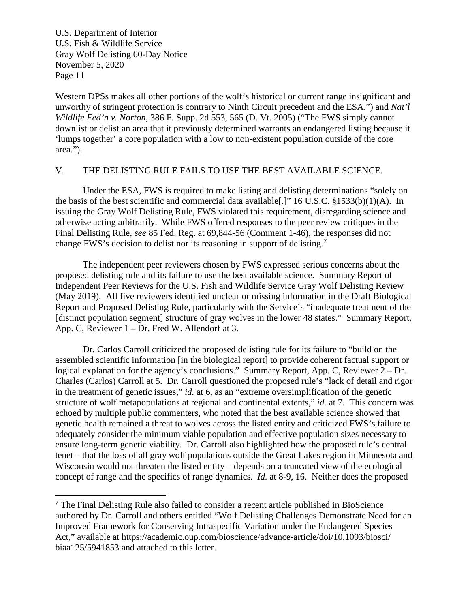Western DPSs makes all other portions of the wolf's historical or current range insignificant and unworthy of stringent protection is contrary to Ninth Circuit precedent and the ESA.") and *Nat'l Wildlife Fed'n v. Norton,* 386 F. Supp. 2d 553, 565 (D. Vt. 2005) ("The FWS simply cannot downlist or delist an area that it previously determined warrants an endangered listing because it 'lumps together' a core population with a low to non-existent population outside of the core area.").

#### V. THE DELISTING RULE FAILS TO USE THE BEST AVAILABLE SCIENCE.

Under the ESA, FWS is required to make listing and delisting determinations "solely on the basis of the best scientific and commercial data available[.]" 16 U.S.C. §1533(b)(1)(A). In issuing the Gray Wolf Delisting Rule, FWS violated this requirement, disregarding science and otherwise acting arbitrarily. While FWS offered responses to the peer review critiques in the Final Delisting Rule, *see* 85 Fed. Reg. at 69,844-56 (Comment 1-46), the responses did not change FWS's decision to delist nor its reasoning in support of delisting.<sup>[7](#page-10-0)</sup>

The independent peer reviewers chosen by FWS expressed serious concerns about the proposed delisting rule and its failure to use the best available science. Summary Report of Independent Peer Reviews for the U.S. Fish and Wildlife Service Gray Wolf Delisting Review (May 2019). All five reviewers identified unclear or missing information in the Draft Biological Report and Proposed Delisting Rule, particularly with the Service's "inadequate treatment of the [distinct population segment] structure of gray wolves in the lower 48 states." Summary Report, App. C, Reviewer 1 – Dr. Fred W. Allendorf at 3.

Dr. Carlos Carroll criticized the proposed delisting rule for its failure to "build on the assembled scientific information [in the biological report] to provide coherent factual support or logical explanation for the agency's conclusions." Summary Report, App. C, Reviewer 2 – Dr. Charles (Carlos) Carroll at 5. Dr. Carroll questioned the proposed rule's "lack of detail and rigor in the treatment of genetic issues," *id.* at 6, as an "extreme oversimplification of the genetic structure of wolf metapopulations at regional and continental extents," *id.* at 7. This concern was echoed by multiple public commenters, who noted that the best available science showed that genetic health remained a threat to wolves across the listed entity and criticized FWS's failure to adequately consider the minimum viable population and effective population sizes necessary to ensure long-term genetic viability. Dr. Carroll also highlighted how the proposed rule's central tenet – that the loss of all gray wolf populations outside the Great Lakes region in Minnesota and Wisconsin would not threaten the listed entity – depends on a truncated view of the ecological concept of range and the specifics of range dynamics. *Id.* at 8-9, 16. Neither does the proposed

<span id="page-10-0"></span> <sup>7</sup> The Final Delisting Rule also failed to consider a recent article published in BioScience authored by Dr. Carroll and others entitled "Wolf Delisting Challenges Demonstrate Need for an Improved Framework for Conserving Intraspecific Variation under the Endangered Species Act," available at https://academic.oup.com/bioscience/advance-article/doi/10.1093/biosci/ biaa125/5941853 and attached to this letter.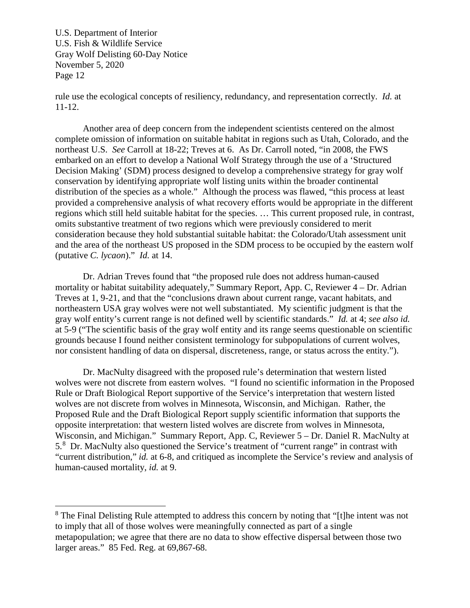rule use the ecological concepts of resiliency, redundancy, and representation correctly. *Id.* at 11-12.

Another area of deep concern from the independent scientists centered on the almost complete omission of information on suitable habitat in regions such as Utah, Colorado, and the northeast U.S. *See* Carroll at 18-22; Treves at 6. As Dr. Carroll noted, "in 2008, the FWS embarked on an effort to develop a National Wolf Strategy through the use of a 'Structured Decision Making' (SDM) process designed to develop a comprehensive strategy for gray wolf conservation by identifying appropriate wolf listing units within the broader continental distribution of the species as a whole." Although the process was flawed, "this process at least provided a comprehensive analysis of what recovery efforts would be appropriate in the different regions which still held suitable habitat for the species. … This current proposed rule, in contrast, omits substantive treatment of two regions which were previously considered to merit consideration because they hold substantial suitable habitat: the Colorado/Utah assessment unit and the area of the northeast US proposed in the SDM process to be occupied by the eastern wolf (putative *C. lycaon*)." *Id.* at 14.

Dr. Adrian Treves found that "the proposed rule does not address human-caused mortality or habitat suitability adequately," Summary Report, App. C, Reviewer 4 – Dr. Adrian Treves at 1, 9-21, and that the "conclusions drawn about current range, vacant habitats, and northeastern USA gray wolves were not well substantiated. My scientific judgment is that the gray wolf entity's current range is not defined well by scientific standards." *Id.* at 4; *see also id.* at 5-9 ("The scientific basis of the gray wolf entity and its range seems questionable on scientific grounds because I found neither consistent terminology for subpopulations of current wolves, nor consistent handling of data on dispersal, discreteness, range, or status across the entity.").

Dr. MacNulty disagreed with the proposed rule's determination that western listed wolves were not discrete from eastern wolves. "I found no scientific information in the Proposed Rule or Draft Biological Report supportive of the Service's interpretation that western listed wolves are not discrete from wolves in Minnesota, Wisconsin, and Michigan. Rather, the Proposed Rule and the Draft Biological Report supply scientific information that supports the opposite interpretation: that western listed wolves are discrete from wolves in Minnesota, Wisconsin, and Michigan." Summary Report, App. C, Reviewer 5 – Dr. Daniel R. MacNulty at 5.<sup>[8](#page-11-0)</sup> Dr. MacNulty also questioned the Service's treatment of "current range" in contrast with "current distribution," *id.* at 6-8, and critiqued as incomplete the Service's review and analysis of human-caused mortality, *id.* at 9.

<span id="page-11-0"></span><sup>&</sup>lt;sup>8</sup> The Final Delisting Rule attempted to address this concern by noting that "[t]he intent was not to imply that all of those wolves were meaningfully connected as part of a single metapopulation; we agree that there are no data to show effective dispersal between those two larger areas." 85 Fed. Reg. at 69,867-68.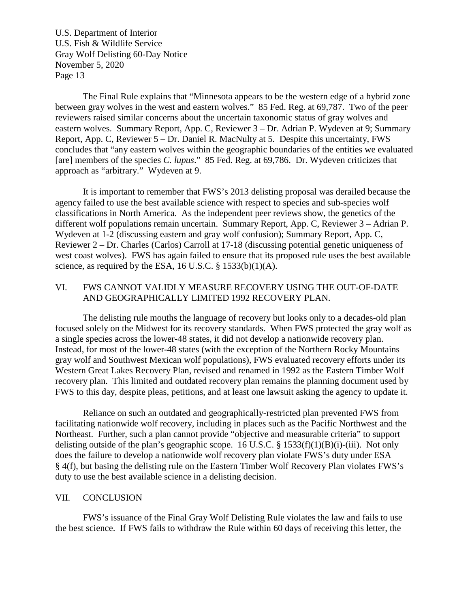The Final Rule explains that "Minnesota appears to be the western edge of a hybrid zone between gray wolves in the west and eastern wolves." 85 Fed. Reg. at 69,787. Two of the peer reviewers raised similar concerns about the uncertain taxonomic status of gray wolves and eastern wolves. Summary Report, App. C, Reviewer 3 – Dr. Adrian P. Wydeven at 9; Summary Report, App. C, Reviewer 5 – Dr. Daniel R. MacNulty at 5. Despite this uncertainty, FWS concludes that "any eastern wolves within the geographic boundaries of the entities we evaluated [are] members of the species *C. lupus*." 85 Fed. Reg. at 69,786. Dr. Wydeven criticizes that approach as "arbitrary." Wydeven at 9.

It is important to remember that FWS's 2013 delisting proposal was derailed because the agency failed to use the best available science with respect to species and sub-species wolf classifications in North America. As the independent peer reviews show, the genetics of the different wolf populations remain uncertain. Summary Report, App. C, Reviewer 3 – Adrian P. Wydeven at 1-2 (discussing eastern and gray wolf confusion); Summary Report, App. C, Reviewer 2 – Dr. Charles (Carlos) Carroll at 17-18 (discussing potential genetic uniqueness of west coast wolves). FWS has again failed to ensure that its proposed rule uses the best available science, as required by the ESA, 16 U.S.C.  $\S$  1533(b)(1)(A).

# VI. FWS CANNOT VALIDLY MEASURE RECOVERY USING THE OUT-OF-DATE AND GEOGRAPHICALLY LIMITED 1992 RECOVERY PLAN.

The delisting rule mouths the language of recovery but looks only to a decades-old plan focused solely on the Midwest for its recovery standards. When FWS protected the gray wolf as a single species across the lower-48 states, it did not develop a nationwide recovery plan. Instead, for most of the lower-48 states (with the exception of the Northern Rocky Mountains gray wolf and Southwest Mexican wolf populations), FWS evaluated recovery efforts under its Western Great Lakes Recovery Plan, revised and renamed in 1992 as the Eastern Timber Wolf recovery plan. This limited and outdated recovery plan remains the planning document used by FWS to this day, despite pleas, petitions, and at least one lawsuit asking the agency to update it.

Reliance on such an outdated and geographically-restricted plan prevented FWS from facilitating nationwide wolf recovery, including in places such as the Pacific Northwest and the Northeast. Further, such a plan cannot provide "objective and measurable criteria" to support delisting outside of the plan's geographic scope. 16 U.S.C.  $\S$  1533(f)(1)(B)(i)-(iii). Not only does the failure to develop a nationwide wolf recovery plan violate FWS's duty under ESA § 4(f), but basing the delisting rule on the Eastern Timber Wolf Recovery Plan violates FWS's duty to use the best available science in a delisting decision.

#### VII. CONCLUSION

FWS's issuance of the Final Gray Wolf Delisting Rule violates the law and fails to use the best science. If FWS fails to withdraw the Rule within 60 days of receiving this letter, the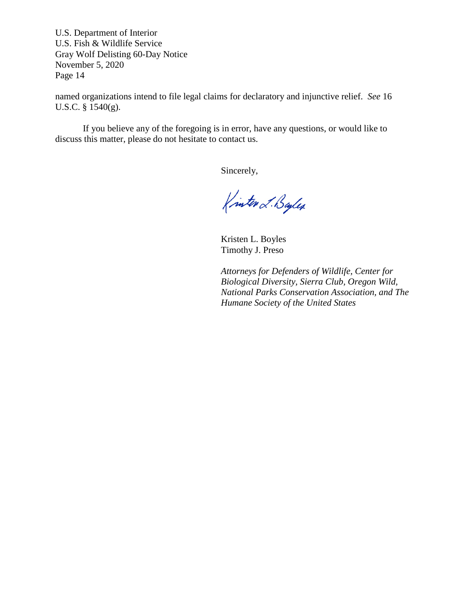named organizations intend to file legal claims for declaratory and injunctive relief. *See* 16 U.S.C. § 1540(g).

If you believe any of the foregoing is in error, have any questions, or would like to discuss this matter, please do not hesitate to contact us.

Sincerely,

Kinter L. Bayles

Kristen L. Boyles Timothy J. Preso

*Attorneys for Defenders of Wildlife, Center for Biological Diversity, Sierra Club, Oregon Wild, National Parks Conservation Association, and The Humane Society of the United States*